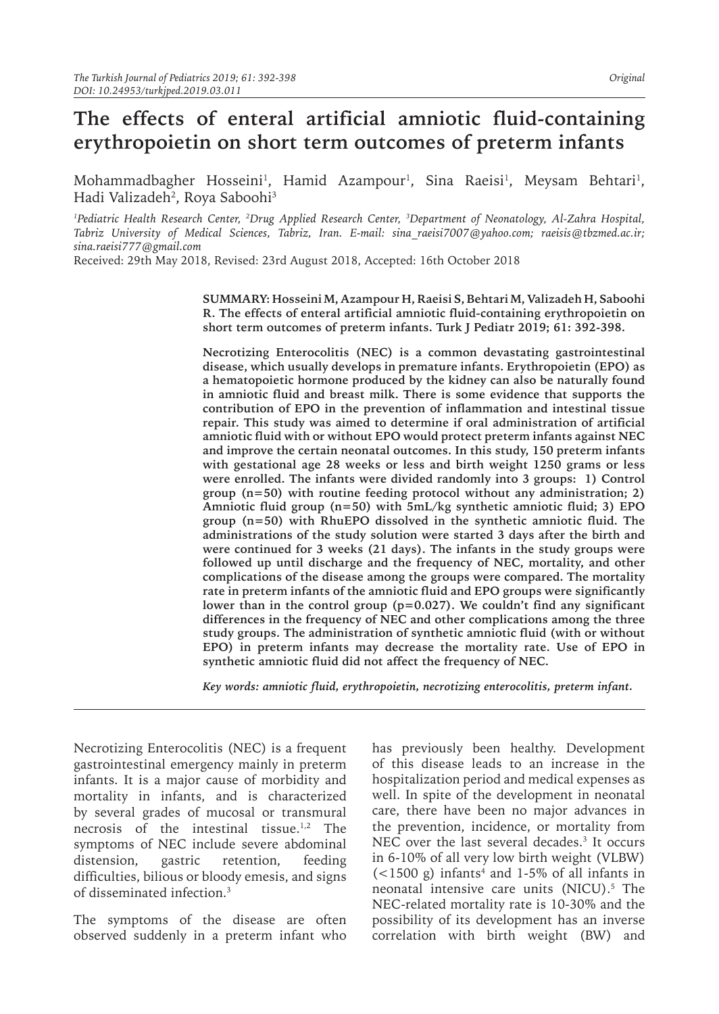# **The effects of enteral artificial amniotic fluid-containing erythropoietin on short term outcomes of preterm infants**

Mohammadbagher Hosseini<sup>1</sup>, Hamid Azampour<sup>1</sup>, Sina Raeisi<sup>1</sup>, Meysam Behtari<sup>1</sup>, Hadi Valizadeh<sup>2</sup>, Roya Saboohi<sup>3</sup>

<sup>1</sup>Pediatric Health Research Center, <sup>2</sup>Drug Applied Research Center, <sup>3</sup>Department of Neonatology, Al-Zahra Hospital, *Tabriz University of Medical Sciences, Tabriz, Iran. E-mail: sina\_raeisi7007@yahoo.com; raeisis@tbzmed.ac.ir; sina.raeisi777@gmail.com*

Received: 29th May 2018, Revised: 23rd August 2018, Accepted: 16th October 2018

**SUMMARY: Hosseini M, Azampour H, Raeisi S, Behtari M, Valizadeh H, Saboohi R. The effects of enteral artificial amniotic fluid-containing erythropoietin on short term outcomes of preterm infants. Turk J Pediatr 2019; 61: 392-398.**

**Necrotizing Enterocolitis (NEC) is a common devastating gastrointestinal disease, which usually develops in premature infants. Erythropoietin (EPO) as a hematopoietic hormone produced by the kidney can also be naturally found in amniotic fluid and breast milk. There is some evidence that supports the contribution of EPO in the prevention of inflammation and intestinal tissue repair. This study was aimed to determine if oral administration of artificial amniotic fluid with or without EPO would protect preterm infants against NEC and improve the certain neonatal outcomes. In this study, 150 preterm infants with gestational age 28 weeks or less and birth weight 1250 grams or less were enrolled. The infants were divided randomly into 3 groups: 1) Control group (n=50) with routine feeding protocol without any administration; 2) Amniotic fluid group (n=50) with 5mL/kg synthetic amniotic fluid; 3) EPO group (n=50) with RhuEPO dissolved in the synthetic amniotic fluid. The administrations of the study solution were started 3 days after the birth and were continued for 3 weeks (21 days). The infants in the study groups were followed up until discharge and the frequency of NEC, mortality, and other complications of the disease among the groups were compared. The mortality rate in preterm infants of the amniotic fluid and EPO groups were significantly lower than in the control group (p=0.027). We couldn't find any significant differences in the frequency of NEC and other complications among the three study groups. The administration of synthetic amniotic fluid (with or without EPO) in preterm infants may decrease the mortality rate. Use of EPO in synthetic amniotic fluid did not affect the frequency of NEC.** 

*Key words: amniotic fluid, erythropoietin, necrotizing enterocolitis, preterm infant.*

Necrotizing Enterocolitis (NEC) is a frequent gastrointestinal emergency mainly in preterm infants. It is a major cause of morbidity and mortality in infants, and is characterized by several grades of mucosal or transmural necrosis of the intestinal tissue.<sup>1,2</sup> The symptoms of NEC include severe abdominal distension, gastric retention, feeding difficulties, bilious or bloody emesis, and signs of disseminated infection.3

The symptoms of the disease are often observed suddenly in a preterm infant who

has previously been healthy. Development of this disease leads to an increase in the hospitalization period and medical expenses as well. In spite of the development in neonatal care, there have been no major advances in the prevention, incidence, or mortality from NEC over the last several decades.<sup>3</sup> It occurs in 6-10% of all very low birth weight (VLBW)  $(<$ 1500 g) infants<sup>4</sup> and 1-5% of all infants in neonatal intensive care units (NICU).<sup>5</sup> The NEC-related mortality rate is 10-30% and the possibility of its development has an inverse correlation with birth weight (BW) and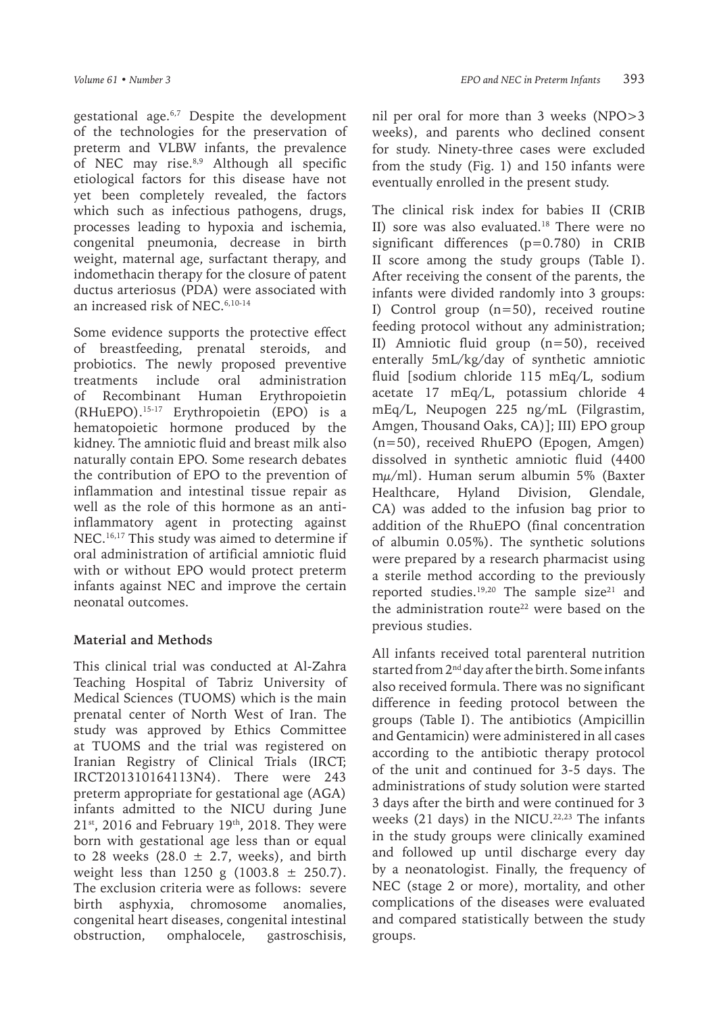gestational age.6,7 Despite the development of the technologies for the preservation of preterm and VLBW infants, the prevalence of NEC may rise.<sup>8,9</sup> Although all specific etiological factors for this disease have not yet been completely revealed, the factors which such as infectious pathogens, drugs, processes leading to hypoxia and ischemia, congenital pneumonia, decrease in birth weight, maternal age, surfactant therapy, and indomethacin therapy for the closure of patent ductus arteriosus (PDA) were associated with an increased risk of NEC  $6,10-14$ 

Some evidence supports the protective effect of breastfeeding, prenatal steroids, and probiotics. The newly proposed preventive treatments include oral administration of Recombinant Human Erythropoietin (RHuEPO).15-17 Erythropoietin (EPO) is a hematopoietic hormone produced by the kidney. The amniotic fluid and breast milk also naturally contain EPO. Some research debates the contribution of EPO to the prevention of inflammation and intestinal tissue repair as well as the role of this hormone as an antiinflammatory agent in protecting against NEC.16,17 This study was aimed to determine if oral administration of artificial amniotic fluid with or without EPO would protect preterm infants against NEC and improve the certain neonatal outcomes.

## **Material and Methods**

This clinical trial was conducted at Al-Zahra Teaching Hospital of Tabriz University of Medical Sciences (TUOMS) which is the main prenatal center of North West of Iran. The study was approved by Ethics Committee at TUOMS and the trial was registered on Iranian Registry of Clinical Trials (IRCT; IRCT201310164113N4). There were 243 preterm appropriate for gestational age (AGA) infants admitted to the NICU during June  $21<sup>st</sup>$ , 2016 and February 19<sup>th</sup>, 2018. They were born with gestational age less than or equal to 28 weeks (28.0  $\pm$  2.7, weeks), and birth weight less than 1250 g  $(1003.8 \pm 250.7)$ . The exclusion criteria were as follows: severe birth asphyxia, chromosome anomalies, congenital heart diseases, congenital intestinal obstruction, omphalocele, gastroschisis,

nil per oral for more than 3 weeks (NPO>3 weeks), and parents who declined consent for study. Ninety-three cases were excluded from the study (Fig. 1) and 150 infants were eventually enrolled in the present study.

The clinical risk index for babies II (CRIB II) sore was also evaluated.<sup>18</sup> There were no significant differences (p=0.780) in CRIB II score among the study groups (Table I). After receiving the consent of the parents, the infants were divided randomly into 3 groups: I) Control group  $(n=50)$ , received routine feeding protocol without any administration; II) Amniotic fluid group (n=50), received enterally 5mL/kg/day of synthetic amniotic fluid [sodium chloride 115 mEq/L, sodium acetate 17 mEq/L, potassium chloride 4 mEq/L, Neupogen 225 ng/mL (Filgrastim, Amgen, Thousand Oaks, CA)]; III) EPO group (n=50), received RhuEPO (Epogen, Amgen) dissolved in synthetic amniotic fluid (4400 mμ/ml). Human serum albumin 5% (Baxter Healthcare, Hyland Division, Glendale, CA) was added to the infusion bag prior to addition of the RhuEPO (final concentration of albumin 0.05%). The synthetic solutions were prepared by a research pharmacist using a sterile method according to the previously reported studies.<sup>19,20</sup> The sample size<sup>21</sup> and the administration route<sup>22</sup> were based on the previous studies.

All infants received total parenteral nutrition started from 2<sup>nd</sup> day after the birth. Some infants also received formula. There was no significant difference in feeding protocol between the groups (Table I). The antibiotics (Ampicillin and Gentamicin) were administered in all cases according to the antibiotic therapy protocol of the unit and continued for 3-5 days. The administrations of study solution were started 3 days after the birth and were continued for 3 weeks  $(21 \text{ days})$  in the NICU.<sup>22,23</sup> The infants in the study groups were clinically examined and followed up until discharge every day by a neonatologist. Finally, the frequency of NEC (stage 2 or more), mortality, and other complications of the diseases were evaluated and compared statistically between the study groups.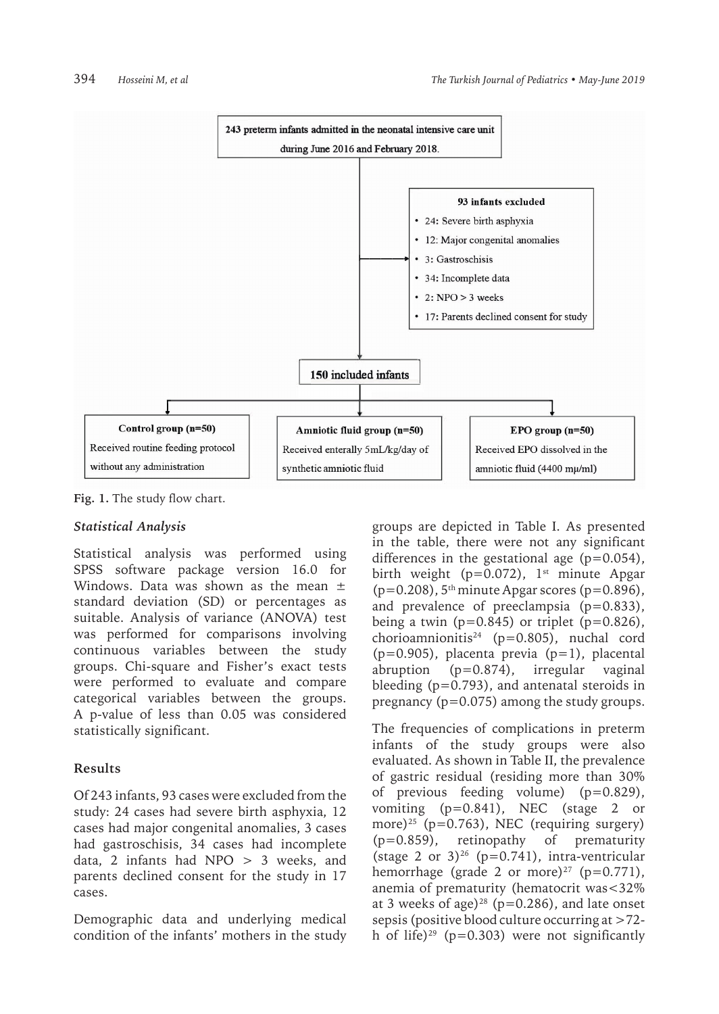

**Fig. 1.** The study flow chart.

## *Statistical Analysis*

Statistical analysis was performed using SPSS software package version 16.0 for Windows. Data was shown as the mean  $\pm$ standard deviation (SD) or percentages as suitable. Analysis of variance (ANOVA) test was performed for comparisons involving continuous variables between the study groups. Chi-square and Fisher's exact tests were performed to evaluate and compare categorical variables between the groups. A p-value of less than 0.05 was considered statistically significant.

## **Results**

Of 243 infants, 93 cases were excluded from the study: 24 cases had severe birth asphyxia, 12 cases had major congenital anomalies, 3 cases had gastroschisis, 34 cases had incomplete data, 2 infants had NPO > 3 weeks, and parents declined consent for the study in 17 cases.

Demographic data and underlying medical condition of the infants' mothers in the study

groups are depicted in Table I. As presented in the table, there were not any significant differences in the gestational age  $(p=0.054)$ , birth weight ( $p=0.072$ ), 1<sup>st</sup> minute Apgar  $(p=0.208)$ , 5<sup>th</sup> minute Apgar scores (p=0.896), and prevalence of preeclampsia (p=0.833), being a twin ( $p=0.845$ ) or triplet ( $p=0.826$ ), chorioamnionitis<sup>24</sup> (p=0.805), nuchal cord  $(p=0.905)$ , placenta previa  $(p=1)$ , placental abruption (p=0.874), irregular vaginal bleeding  $(p=0.793)$ , and antenatal steroids in pregnancy (p=0.075) among the study groups.

The frequencies of complications in preterm infants of the study groups were also evaluated. As shown in Table II, the prevalence of gastric residual (residing more than 30% of previous feeding volume) (p=0.829), vomiting (p=0.841), NEC (stage 2 or more)<sup>25</sup> (p=0.763), NEC (requiring surgery) (p=0.859), retinopathy of prematurity (stage 2 or  $3)^{26}$  (p=0.741), intra-ventricular hemorrhage (grade 2 or more)<sup>27</sup> ( $p=0.771$ ), anemia of prematurity (hematocrit was<32% at 3 weeks of age)<sup>28</sup> ( $p=0.286$ ), and late onset sepsis (positive blood culture occurring at >72 h of life)<sup>29</sup> (p=0.303) were not significantly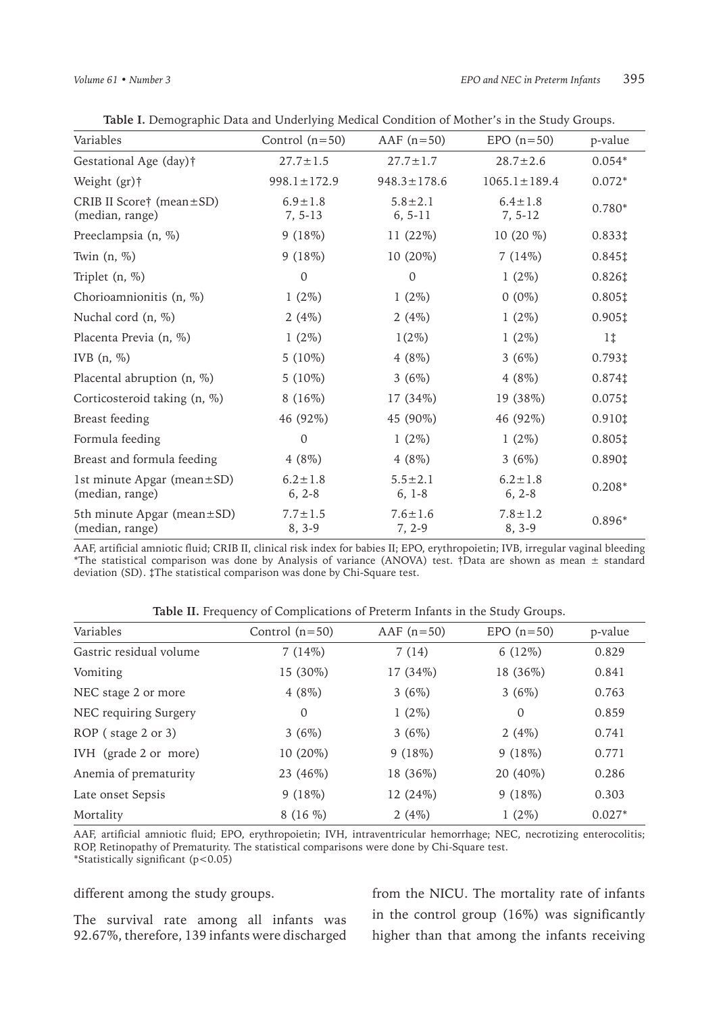| Variables                                           | Control $(n=50)$          | AAF $(n=50)$               | $EPO(n=50)$                | p-value                                  |
|-----------------------------------------------------|---------------------------|----------------------------|----------------------------|------------------------------------------|
| Gestational Age (day)†                              | $27.7 \pm 1.5$            | $27.7 \pm 1.7$             | $28.7 \pm 2.6$             | $0.054*$                                 |
| Weight (gr)†                                        | $998.1 \pm 172.9$         | $948.3 \pm 178.6$          | $1065.1 \pm 189.4$         | $0.072*$                                 |
| CRIB II Score† (mean $\pm$ SD)<br>(median, range)   | $6.9 \pm 1.8$<br>7, 5-13  | $5.8 \pm 2.1$<br>$6, 5-11$ | $6.4 \pm 1.8$<br>$7, 5-12$ | $0.780*$                                 |
| Preeclampsia (n, %)                                 | 9(18%)                    | $11(22\%)$                 | 10 $(20\%$                 | $0.833\ddagger$                          |
| Twin $(n, %)$                                       | 9(18%)                    | $10(20\%)$                 | 7(14%)                     | $0.845$ ‡                                |
| Triplet $(n, %)$                                    | $\mathbf{0}$              | $\mathbf{0}$               | $1(2\%)$                   | $0.826\ddagger$                          |
| Chorioamnionitis (n, %)                             | $1(2\%)$                  | $1(2\%)$                   | $0(0\%)$                   | $0.805$ ‡                                |
| Nuchal cord (n, %)                                  | 2(4%)                     | 2(4%)                      | $1(2\%)$                   | $0.905$ <sup>*</sup>                     |
| Placenta Previa (n, %)                              | $1(2\%)$                  | $1(2\%)$                   | $1(2\%)$                   | $1\ddagger$                              |
| IVB $(n, \%)$                                       | $5(10\%)$                 | 4(8%)                      | 3(6%)                      | $0.793*$                                 |
| Placental abruption (n, %)                          | $5(10\%)$                 | 3(6%)                      | $4(8\%)$                   | $0.874$ ‡                                |
| Corticosteroid taking (n, %)                        | 8(16%)                    | 17 (34%)                   | 19 (38%)                   | $0.075$ ‡                                |
| Breast feeding                                      | 46 (92%)                  | 45 (90%)                   | 46 (92%)                   | $0.910$ <sup><math>\ddagger</math></sup> |
| Formula feeding                                     | $\mathbf{0}$              | $1(2\%)$                   | $1(2\%)$                   | $0.805$ ‡                                |
| Breast and formula feeding                          | 4(8%)                     | $4(8\%)$                   | 3(6%)                      | 0.890‡                                   |
| 1st minute Apgar (mean $\pm$ SD)<br>(median, range) | $6.2 \pm 1.8$<br>$6, 2-8$ | $5.5 \pm 2.1$<br>$6, 1-8$  | $6.2 \pm 1.8$<br>$6, 2-8$  | $0.208*$                                 |
| 5th minute Apgar (mean±SD)<br>(median, range)       | $7.7 \pm 1.5$<br>$8, 3-9$ | $7.6 \pm 1.6$<br>7, 2-9    | $7.8 \pm 1.2$<br>$8, 3-9$  | 0.896*                                   |

**Table I.** Demographic Data and Underlying Medical Condition of Mother's in the Study Groups.

AAF, artificial amniotic fluid; CRIB II, clinical risk index for babies II; EPO, erythropoietin; IVB, irregular vaginal bleeding \*The statistical comparison was done by Analysis of variance (ANOVA) test. †Data are shown as mean ± standard deviation (SD). ‡The statistical comparison was done by Chi-Square test.

**Table II.** Frequency of Complications of Preterm Infants in the Study Groups.

| Variables               | Control $(n=50)$ | AAF $(n=50)$ | $EPO(n=50)$ | p-value  |
|-------------------------|------------------|--------------|-------------|----------|
| Gastric residual volume | 7(14%)           | 7(14)        | $6(12\%)$   | 0.829    |
| Vomiting                | 15 (30%)         | 17 (34%)     | 18 (36%)    | 0.841    |
| NEC stage 2 or more     | $4(8\%)$         | 3(6%)        | 3(6%)       | 0.763    |
| NEC requiring Surgery   | 0                | $1(2\%)$     | 0           | 0.859    |
| ROP (stage 2 or 3)      | 3(6%)            | 3(6%)        | 2(4%)       | 0.741    |
| IVH (grade 2 or more)   | 10 (20%)         | 9(18%)       | 9(18%)      | 0.771    |
| Anemia of prematurity   | 23 (46%)         | 18 (36%)     | 20 (40%)    | 0.286    |
| Late onset Sepsis       | 9(18%)           | 12 (24%)     | 9(18%)      | 0.303    |
| Mortality               | 8(16%)           | 2 $(4%)$     | $1(2\%)$    | $0.027*$ |

AAF, artificial amniotic fluid; EPO, erythropoietin; IVH, intraventricular hemorrhage; NEC, necrotizing enterocolitis; ROP, Retinopathy of Prematurity. The statistical comparisons were done by Chi-Square test. \*Statistically significant (p<0.05)

#### different among the study groups.

The survival rate among all infants was 92.67%, therefore, 139 infants were discharged from the NICU. The mortality rate of infants in the control group (16%) was significantly higher than that among the infants receiving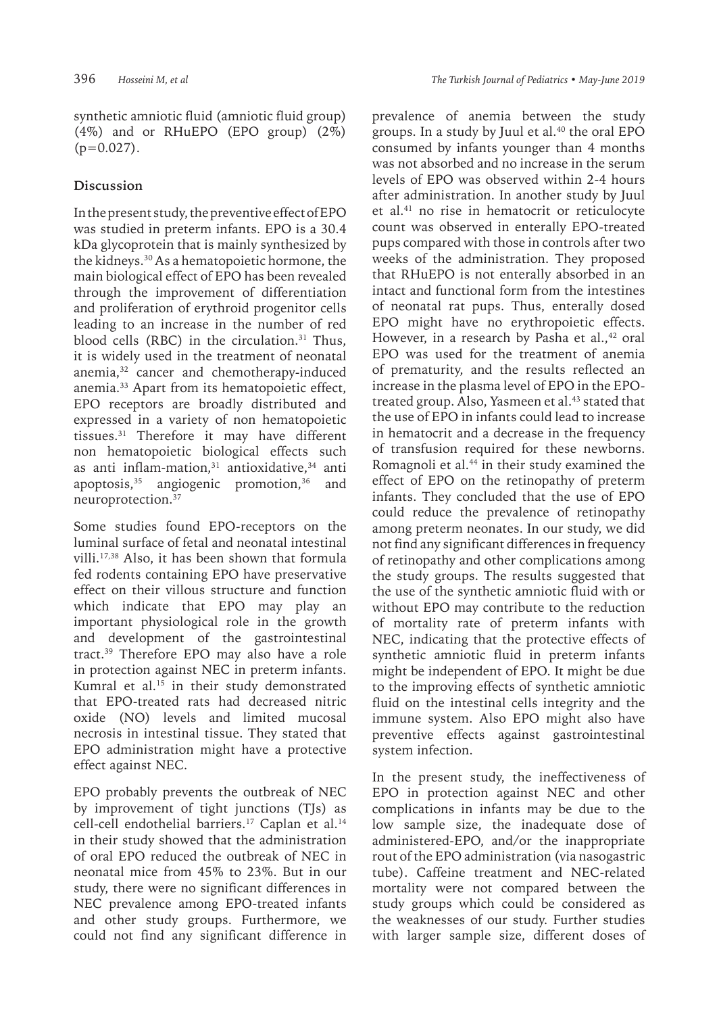synthetic amniotic fluid (amniotic fluid group) (4%) and or RHuEPO (EPO group) (2%)  $(p=0.027)$ .

## **Discussion**

In the present study, the preventive effect of EPO was studied in preterm infants. EPO is a 30.4 kDa glycoprotein that is mainly synthesized by the kidneys.30 As a hematopoietic hormone, the main biological effect of EPO has been revealed through the improvement of differentiation and proliferation of erythroid progenitor cells leading to an increase in the number of red blood cells (RBC) in the circulation. $31$  Thus, it is widely used in the treatment of neonatal anemia,<sup>32</sup> cancer and chemotherapy-induced anemia.33 Apart from its hematopoietic effect, EPO receptors are broadly distributed and expressed in a variety of non hematopoietic tissues.31 Therefore it may have different non hematopoietic biological effects such as anti inflam-mation, $31$  antioxidative, $34$  anti apoptosis, $35$  angiogenic promotion, $36$  and neuroprotection.37

Some studies found EPO-receptors on the luminal surface of fetal and neonatal intestinal villi.17,38 Also, it has been shown that formula fed rodents containing EPO have preservative effect on their villous structure and function which indicate that EPO may play an important physiological role in the growth and development of the gastrointestinal tract.39 Therefore EPO may also have a role in protection against NEC in preterm infants. Kumral et al. $15$  in their study demonstrated that EPO-treated rats had decreased nitric oxide (NO) levels and limited mucosal necrosis in intestinal tissue. They stated that EPO administration might have a protective effect against NEC.

EPO probably prevents the outbreak of NEC by improvement of tight junctions (TJs) as cell-cell endothelial barriers.<sup>17</sup> Caplan et al.<sup>14</sup> in their study showed that the administration of oral EPO reduced the outbreak of NEC in neonatal mice from 45% to 23%. But in our study, there were no significant differences in NEC prevalence among EPO-treated infants and other study groups. Furthermore, we could not find any significant difference in

prevalence of anemia between the study groups. In a study by Juul et al.40 the oral EPO consumed by infants younger than 4 months was not absorbed and no increase in the serum levels of EPO was observed within 2-4 hours after administration. In another study by Juul et al.41 no rise in hematocrit or reticulocyte count was observed in enterally EPO-treated pups compared with those in controls after two weeks of the administration. They proposed that RHuEPO is not enterally absorbed in an intact and functional form from the intestines of neonatal rat pups. Thus, enterally dosed EPO might have no erythropoietic effects. However, in a research by Pasha et al., $42$  oral EPO was used for the treatment of anemia of prematurity, and the results reflected an increase in the plasma level of EPO in the EPOtreated group. Also, Yasmeen et al.<sup>43</sup> stated that the use of EPO in infants could lead to increase in hematocrit and a decrease in the frequency of transfusion required for these newborns. Romagnoli et al.<sup>44</sup> in their study examined the effect of EPO on the retinopathy of preterm infants. They concluded that the use of EPO could reduce the prevalence of retinopathy among preterm neonates. In our study, we did not find any significant differences in frequency of retinopathy and other complications among the study groups. The results suggested that the use of the synthetic amniotic fluid with or without EPO may contribute to the reduction of mortality rate of preterm infants with NEC, indicating that the protective effects of synthetic amniotic fluid in preterm infants might be independent of EPO. It might be due to the improving effects of synthetic amniotic fluid on the intestinal cells integrity and the immune system. Also EPO might also have preventive effects against gastrointestinal system infection.

In the present study, the ineffectiveness of EPO in protection against NEC and other complications in infants may be due to the low sample size, the inadequate dose of administered-EPO, and/or the inappropriate rout of the EPO administration (via nasogastric tube). Caffeine treatment and NEC-related mortality were not compared between the study groups which could be considered as the weaknesses of our study. Further studies with larger sample size, different doses of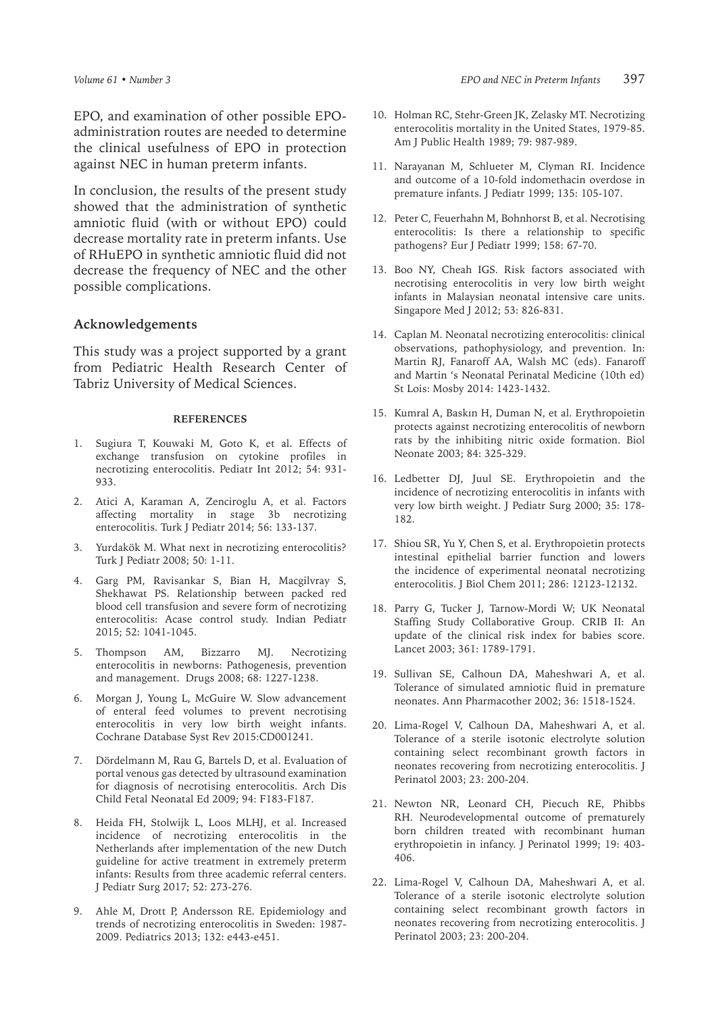EPO, and examination of other possible EPOadministration routes are needed to determine the clinical usefulness of EPO in protection against NEC in human preterm infants.

In conclusion, the results of the present study showed that the administration of synthetic amniotic fluid (with or without EPO) could decrease mortality rate in preterm infants. Use of RHuEPO in synthetic amniotic fluid did not decrease the frequency of NEC and the other possible complications.

#### **Acknowledgements**

This study was a project supported by a grant from Pediatric Health Research Center of Tabriz University of Medical Sciences.

#### **REFERENCES**

- 1. Sugiura T, Kouwaki M, Goto K, et al. Effects of exchange transfusion on cytokine profiles in necrotizing enterocolitis. Pediatr Int 2012; 54: 931- 933.
- 2. Atici A, Karaman A, Zenciroglu A, et al. Factors affecting mortality in stage 3b necrotizing enterocolitis. Turk J Pediatr 2014; 56: 133-137.
- 3. Yurdakök M. What next in necrotizing enterocolitis? Turk J Pediatr 2008; 50: 1-11.
- 4. Garg PM, Ravisankar S, Bian H, Macgilvray S, Shekhawat PS. Relationship between packed red blood cell transfusion and severe form of necrotizing enterocolitis: Acase control study. Indian Pediatr 2015; 52: 1041-1045.
- 5. Thompson AM, Bizzarro MJ. Necrotizing enterocolitis in newborns: Pathogenesis, prevention and management. Drugs 2008; 68: 1227-1238.
- 6. Morgan J, Young L, McGuire W. Slow advancement of enteral feed volumes to prevent necrotising enterocolitis in very low birth weight infants. Cochrane Database Syst Rev 2015:CD001241.
- 7. Dördelmann M, Rau G, Bartels D, et al. Evaluation of portal venous gas detected by ultrasound examination for diagnosis of necrotising enterocolitis. Arch Dis Child Fetal Neonatal Ed 2009; 94: F183-F187.
- 8. Heida FH, Stolwijk L, Loos MLHJ, et al. Increased incidence of necrotizing enterocolitis in the Netherlands after implementation of the new Dutch guideline for active treatment in extremely preterm infants: Results from three academic referral centers. J Pediatr Surg 2017; 52: 273-276.
- 9. Ahle M, Drott P, Andersson RE. Epidemiology and trends of necrotizing enterocolitis in Sweden: 1987- 2009. Pediatrics 2013; 132: e443-e451.
- 10. Holman RC, Stehr-Green JK, Zelasky MT. Necrotizing enterocolitis mortality in the United States, 1979-85. Am J Public Health 1989; 79: 987-989.
- 11. Narayanan M, Schlueter M, Clyman RI. Incidence and outcome of a 10-fold indomethacin overdose in premature infants. J Pediatr 1999; 135: 105-107.
- 12. Peter C, Feuerhahn M, Bohnhorst B, et al. Necrotising enterocolitis: Is there a relationship to specific pathogens? Eur J Pediatr 1999; 158: 67-70.
- 13. Boo NY, Cheah IGS. Risk factors associated with necrotising enterocolitis in very low birth weight infants in Malaysian neonatal intensive care units. Singapore Med J 2012; 53: 826-831.
- 14. Caplan M. Neonatal necrotizing enterocolitis: clinical observations, pathophysiology, and prevention. In: Martin RJ, Fanaroff AA, Walsh MC (eds). Fanaroff and Martin 's Neonatal Perinatal Medicine (10th ed) St Lois: Mosby 2014: 1423-1432.
- 15. Kumral A, Baskın H, Duman N, et al. Erythropoietin protects against necrotizing enterocolitis of newborn rats by the inhibiting nitric oxide formation. Biol Neonate 2003; 84: 325-329.
- 16. Ledbetter DJ, Juul SE. Erythropoietin and the incidence of necrotizing enterocolitis in infants with very low birth weight. J Pediatr Surg 2000; 35: 178- 182.
- 17. Shiou SR, Yu Y, Chen S, et al. Erythropoietin protects intestinal epithelial barrier function and lowers the incidence of experimental neonatal necrotizing enterocolitis. J Biol Chem 2011; 286: 12123-12132.
- 18. Parry G, Tucker J, Tarnow-Mordi W; UK Neonatal Staffing Study Collaborative Group. CRIB II: An update of the clinical risk index for babies score. Lancet 2003; 361: 1789-1791.
- 19. Sullivan SE, Calhoun DA, Maheshwari A, et al. Tolerance of simulated amniotic fluid in premature neonates. Ann Pharmacother 2002; 36: 1518-1524.
- 20. Lima-Rogel V, Calhoun DA, Maheshwari A, et al. Tolerance of a sterile isotonic electrolyte solution containing select recombinant growth factors in neonates recovering from necrotizing enterocolitis. J Perinatol 2003; 23: 200-204.
- 21. Newton NR, Leonard CH, Piecuch RE, Phibbs RH. Neurodevelopmental outcome of prematurely born children treated with recombinant human erythropoietin in infancy. J Perinatol 1999; 19: 403- 406.
- 22. Lima-Rogel V, Calhoun DA, Maheshwari A, et al. Tolerance of a sterile isotonic electrolyte solution containing select recombinant growth factors in neonates recovering from necrotizing enterocolitis. J Perinatol 2003; 23: 200-204.